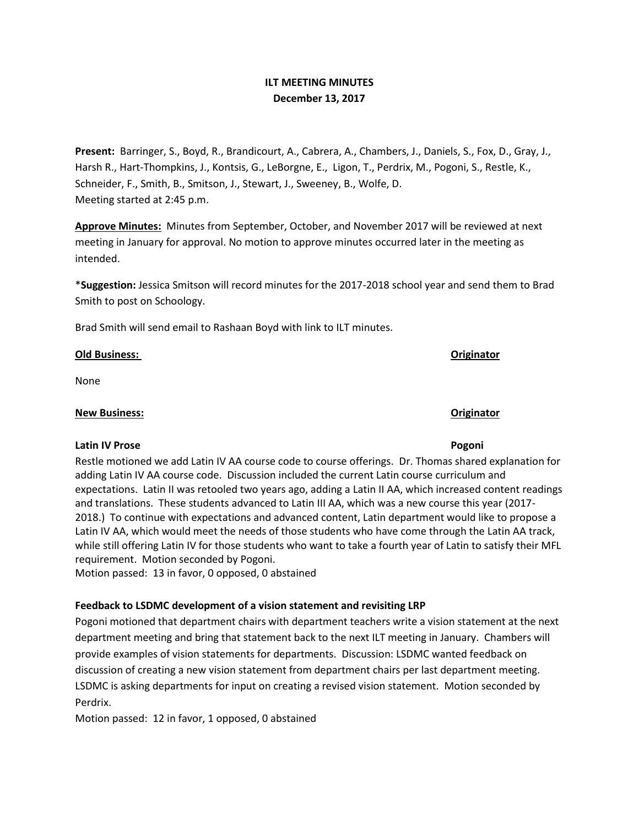# **ILT MEETING MINUTES December 13, 2017**

**Present:** Barringer, S., Boyd, R., Brandicourt, A., Cabrera, A., Chambers, J., Daniels, S., Fox, D., Gray, J., Harsh R., Hart-Thompkins, J., Kontsis, G., LeBorgne, E., Ligon, T., Perdrix, M., Pogoni, S., Restle, K., Schneider, F., Smith, B., Smitson, J., Stewart, J., Sweeney, B., Wolfe, D. Meeting started at 2:45 p.m.

**Approve Minutes:** Minutes from September, October, and November 2017 will be reviewed at next meeting in January for approval. No motion to approve minutes occurred later in the meeting as intended.

\***Suggestion:** Jessica Smitson will record minutes for the 2017-2018 school year and send them to Brad Smith to post on Schoology.

Brad Smith will send email to Rashaan Boyd with link to ILT minutes.

## **Old Business: Originator**

None

## **New Business: Originator**

## **Latin IV Prose Pogoni**

Restle motioned we add Latin IV AA course code to course offerings. Dr. Thomas shared explanation for adding Latin IV AA course code. Discussion included the current Latin course curriculum and expectations. Latin II was retooled two years ago, adding a Latin II AA, which increased content readings and translations. These students advanced to Latin III AA, which was a new course this year (2017- 2018.) To continue with expectations and advanced content, Latin department would like to propose a Latin IV AA, which would meet the needs of those students who have come through the Latin AA track, while still offering Latin IV for those students who want to take a fourth year of Latin to satisfy their MFL requirement. Motion seconded by Pogoni.

Motion passed: 13 in favor, 0 opposed, 0 abstained

## **Feedback to LSDMC development of a vision statement and revisiting LRP**

Pogoni motioned that department chairs with department teachers write a vision statement at the next department meeting and bring that statement back to the next ILT meeting in January. Chambers will provide examples of vision statements for departments. Discussion: LSDMC wanted feedback on discussion of creating a new vision statement from department chairs per last department meeting. LSDMC is asking departments for input on creating a revised vision statement. Motion seconded by Perdrix.

Motion passed: 12 in favor, 1 opposed, 0 abstained